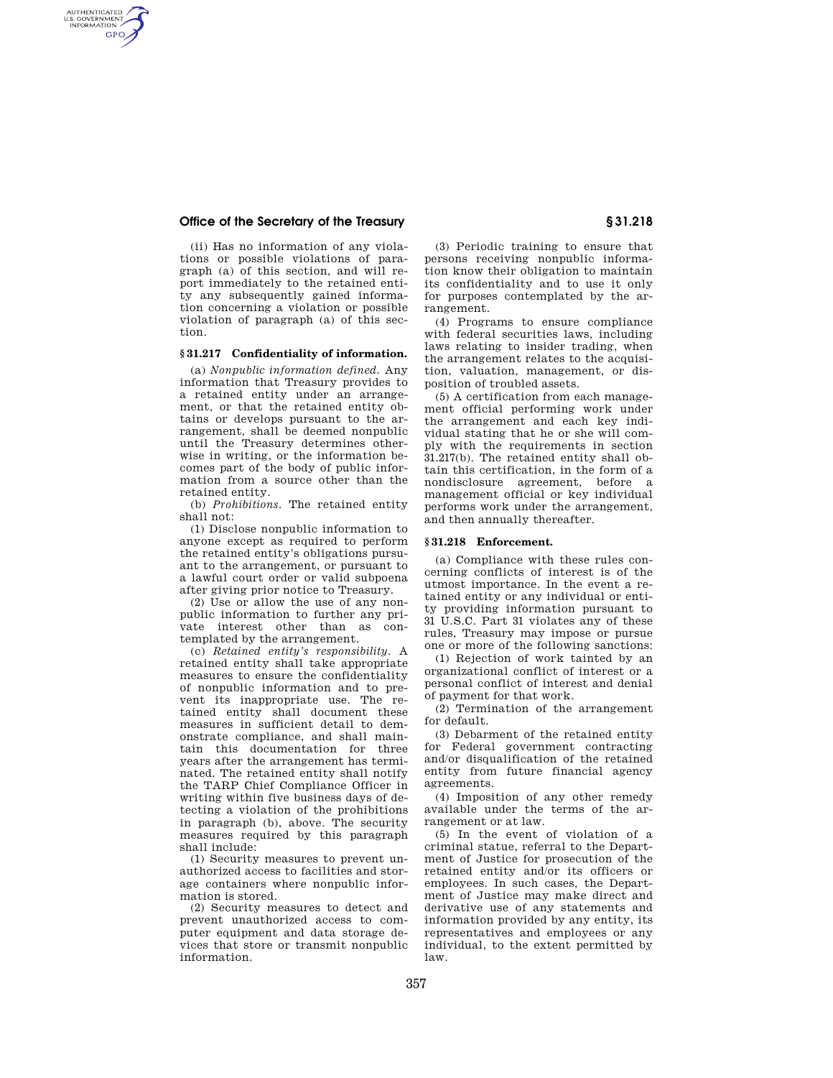# **Office of the Secretary of the Treasury § 31.218**

AUTHENTICATED<br>U.S. GOVERNMENT<br>INFORMATION **GPO** 

> (ii) Has no information of any violations or possible violations of paragraph (a) of this section, and will report immediately to the retained entity any subsequently gained information concerning a violation or possible violation of paragraph (a) of this section.

# **§ 31.217 Confidentiality of information.**

(a) *Nonpublic information defined.* Any information that Treasury provides to a retained entity under an arrangement, or that the retained entity obtains or develops pursuant to the arrangement, shall be deemed nonpublic until the Treasury determines otherwise in writing, or the information becomes part of the body of public information from a source other than the retained entity.

(b) *Prohibitions.* The retained entity shall not:

(1) Disclose nonpublic information to anyone except as required to perform the retained entity's obligations pursuant to the arrangement, or pursuant to a lawful court order or valid subpoena after giving prior notice to Treasury.

(2) Use or allow the use of any nonpublic information to further any private interest other than as contemplated by the arrangement.

(c) *Retained entity's responsibility.* A retained entity shall take appropriate measures to ensure the confidentiality of nonpublic information and to prevent its inappropriate use. The retained entity shall document these measures in sufficient detail to demonstrate compliance, and shall maintain this documentation for three years after the arrangement has terminated. The retained entity shall notify the TARP Chief Compliance Officer in writing within five business days of detecting a violation of the prohibitions in paragraph (b), above. The security measures required by this paragraph shall include:

(1) Security measures to prevent unauthorized access to facilities and storage containers where nonpublic information is stored.

(2) Security measures to detect and prevent unauthorized access to computer equipment and data storage devices that store or transmit nonpublic information.

(3) Periodic training to ensure that persons receiving nonpublic information know their obligation to maintain its confidentiality and to use it only for purposes contemplated by the arrangement.

(4) Programs to ensure compliance with federal securities laws, including laws relating to insider trading, when the arrangement relates to the acquisition, valuation, management, or disposition of troubled assets.

(5) A certification from each management official performing work under the arrangement and each key individual stating that he or she will comply with the requirements in section 31.217(b). The retained entity shall obtain this certification, in the form of a nondisclosure agreement, before a management official or key individual performs work under the arrangement, and then annually thereafter.

#### **§ 31.218 Enforcement.**

(a) Compliance with these rules concerning conflicts of interest is of the utmost importance. In the event a retained entity or any individual or entity providing information pursuant to 31 U.S.C. Part 31 violates any of these rules, Treasury may impose or pursue one or more of the following sanctions:

(1) Rejection of work tainted by an organizational conflict of interest or a personal conflict of interest and denial of payment for that work.

(2) Termination of the arrangement for default.

(3) Debarment of the retained entity for Federal government contracting and/or disqualification of the retained entity from future financial agency agreements.

(4) Imposition of any other remedy available under the terms of the arrangement or at law.

(5) In the event of violation of a criminal statue, referral to the Department of Justice for prosecution of the retained entity and/or its officers or employees. In such cases, the Department of Justice may make direct and derivative use of any statements and information provided by any entity, its representatives and employees or any individual, to the extent permitted by law.